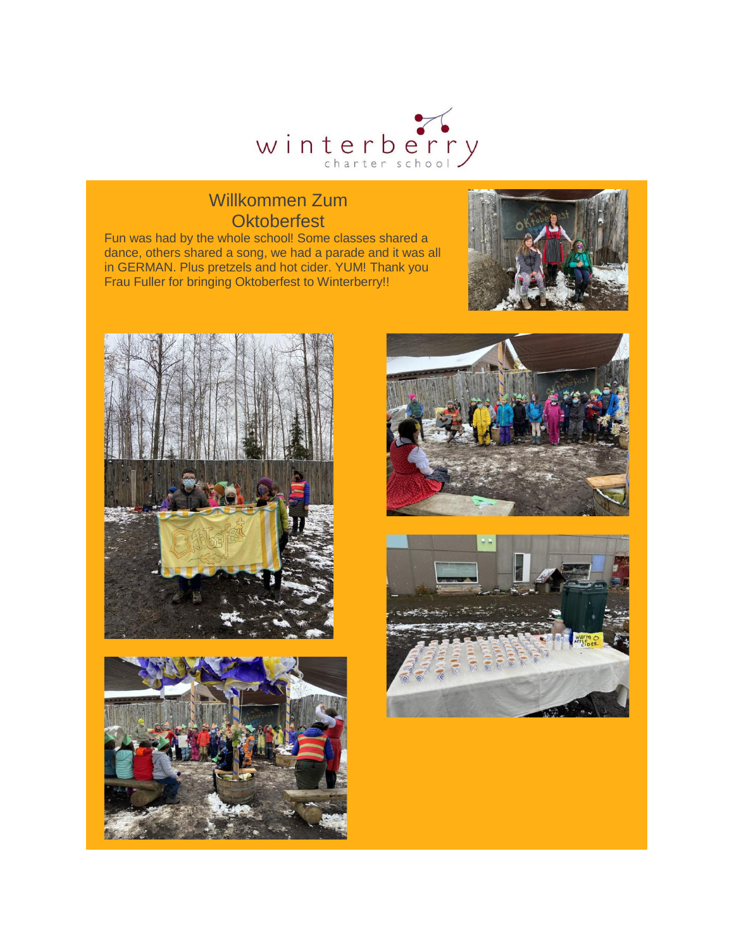

#### Willkommen Zum **Oktoberfest**

Fun was had by the whole school! Some classes shared a dance, others shared a song, we had a parade and it was all in GERMAN. Plus pretzels and hot cider. YUM! Thank you Frau Fuller for bringing Oktoberfest to Winterberry!!









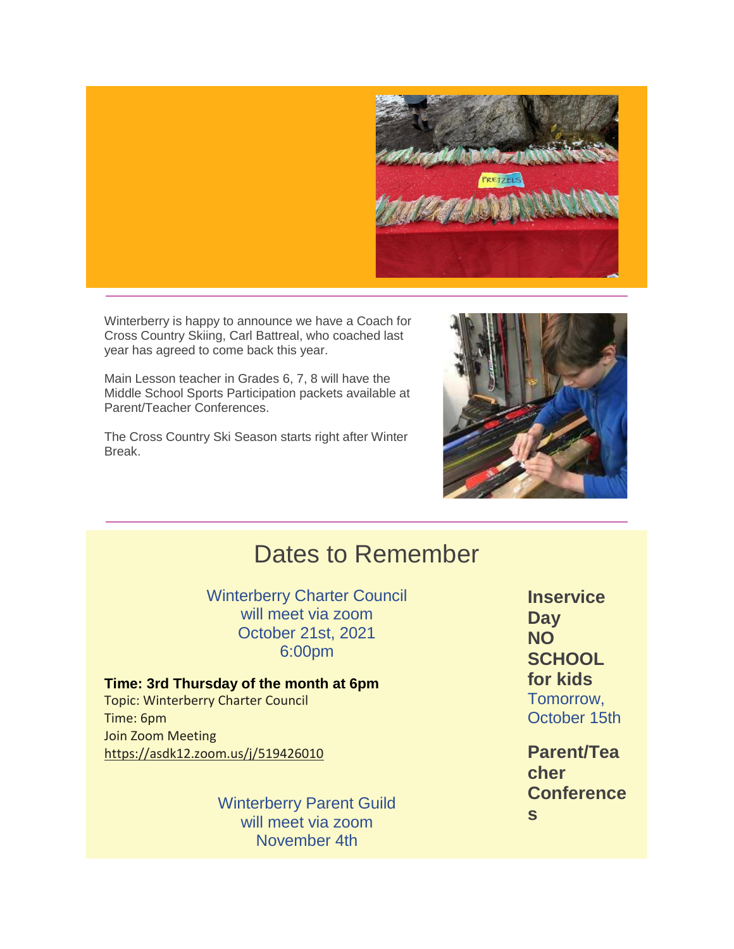

Winterberry is happy to announce we have a Coach for Cross Country Skiing, Carl Battreal, who coached last year has agreed to come back this year.

Main Lesson teacher in Grades 6, 7, 8 will have the Middle School Sports Participation packets available at Parent/Teacher Conferences.

The Cross Country Ski Season starts right after Winter Break.



# Dates to Remember

Winterberry Charter Council will meet via zoom October 21st, 2021 6:00pm

**Time: 3rd Thursday of the month at 6pm** Topic: Winterberry Charter Council Time: 6pm Join Zoom Meeting [https://asdk12.zoom.us/j/519426010](https://nam12.safelinks.protection.outlook.com/?url=https%3A%2F%2Fr20.rs6.net%2Ftn.jsp%3Ff%3D001x_Lo3QXoM0bT_zI61xltEFSR8r_1YnymD-A-H_vsyQPZQ4PA8W1FJX4elZE8FFyKFKuJuE-6Oilpb8kvy-iO72B9PEE3SMM0pto27SvePR8RsP-o0HR0PRonM2ROhEX14akjyHectrmjiKRdbAvIH7zORHfcETlFJNEUoockv0GXMX38RjanrRzEpSnfl32fsOQjJJzcC69fV1iiq-jwjpWPiG-B1wKymO0M-R0Q7v7bSr5Nn-i08e6w84X0LnvM2jchhdVAQMDeYUBdNEB2VIDomLivc-_G_3CFegCxvh-b_ORgveLURGfyANou5X4SB6hTzRg-4ZTx-j64DPvJyFfxJm-X--Sp1fJouYADD15AeY0DJhtzXfroJRVvt3QP1XmHExHYKYgqiJrOtTFJC18rMkdU5ktAfmuvKzWPlcRzET3fN79WTcezEILXuWs_mHysnOXCtq9Xh541-qzVRcpYv10qYpVAn3luRKBIaCjLRUYRbf7Tr-u1aNTWs0A6nOJNg_gKY28f3-QwXlCuKP951jkDMsEwaMDsJPAQlWZHgJGksU1YSFxiPfF8NvPuXWuCdF9Gd_r8tGkz5TncE2KuVW-WEOrDfOeGNamyFUr2ADg6UdjLl03BdoJfsRjwb8oAH2Kh5RYSQGI-WdK3yAWL6Jatr5nkrO4UzcVCh_1qgNEOD62ysh9VwfBzvluk-Eo9_317W-a7nOJnkSgxFg%3D%3D%26c%3DsYr7zzYBNnk3Gllh-n5cQ96phSaeXnwhFPunJdiPdY--XJuqlv3XXA%3D%3D%26ch%3D-A6ru9BcZi21tw6JlbTivk8X0HUB3Gtqt5ZhgrqWSACbF843YmFSdQ%3D%3D&data=04%7C01%7Cgarrels_shana%40asdk12.org%7C6b492b0a83db4fee3b9f08d98f5695a7%7C036ce601e95a4e46a3bd6b742ed4bb35%7C0%7C0%7C637698424326470704%7CUnknown%7CTWFpbGZsb3d8eyJWIjoiMC4wLjAwMDAiLCJQIjoiV2luMzIiLCJBTiI6Ik1haWwiLCJXVCI6Mn0%3D%7C1000&sdata=aJZNVjlO8U8uLsDKgYpJwGh9EFXlv%2B7841zdwaPyEWQ%3D&reserved=0)

> Winterberry Parent Guild will meet via zoom November 4th

**Inservice Day NO SCHOOL for kids** Tomorrow, October 15th

**Parent/Tea cher Conference s**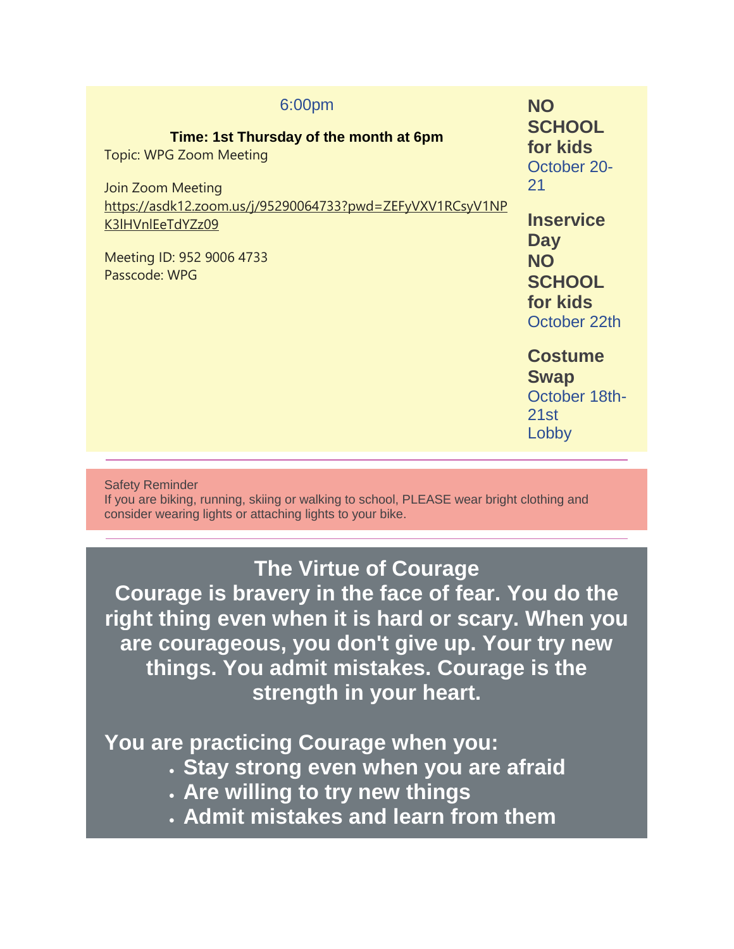| 6:00pm<br>Time: 1st Thursday of the month at 6pm<br><b>Topic: WPG Zoom Meeting</b><br>Join Zoom Meeting<br>https://asdk12.zoom.us/j/95290064733?pwd=ZEFyVXV1RCsyV1NP<br>K3IHVnIEeTdYZz09<br>Meeting ID: 952 9006 4733<br>Passcode: WPG | <b>NO</b><br><b>SCHOOL</b><br>for kids<br>October 20-<br>21<br><b>Inservice</b><br><b>Day</b><br><b>NO</b><br><b>SCHOOL</b><br>for kids<br>October 22th |
|----------------------------------------------------------------------------------------------------------------------------------------------------------------------------------------------------------------------------------------|---------------------------------------------------------------------------------------------------------------------------------------------------------|
|                                                                                                                                                                                                                                        | <b>Costume</b><br><b>Swap</b><br>October 18th-<br>21st<br>Lobby                                                                                         |
|                                                                                                                                                                                                                                        |                                                                                                                                                         |

Safety Reminder

If you are biking, running, skiing or walking to school, PLEASE wear bright clothing and consider wearing lights or attaching lights to your bike.

### **The Virtue of Courage**

**Courage is bravery in the face of fear. You do the right thing even when it is hard or scary. When you are courageous, you don't give up. Your try new things. You admit mistakes. Courage is the strength in your heart.**

**You are practicing Courage when you:**

- **Stay strong even when you are afraid**
- **Are willing to try new things**
- **Admit mistakes and learn from them**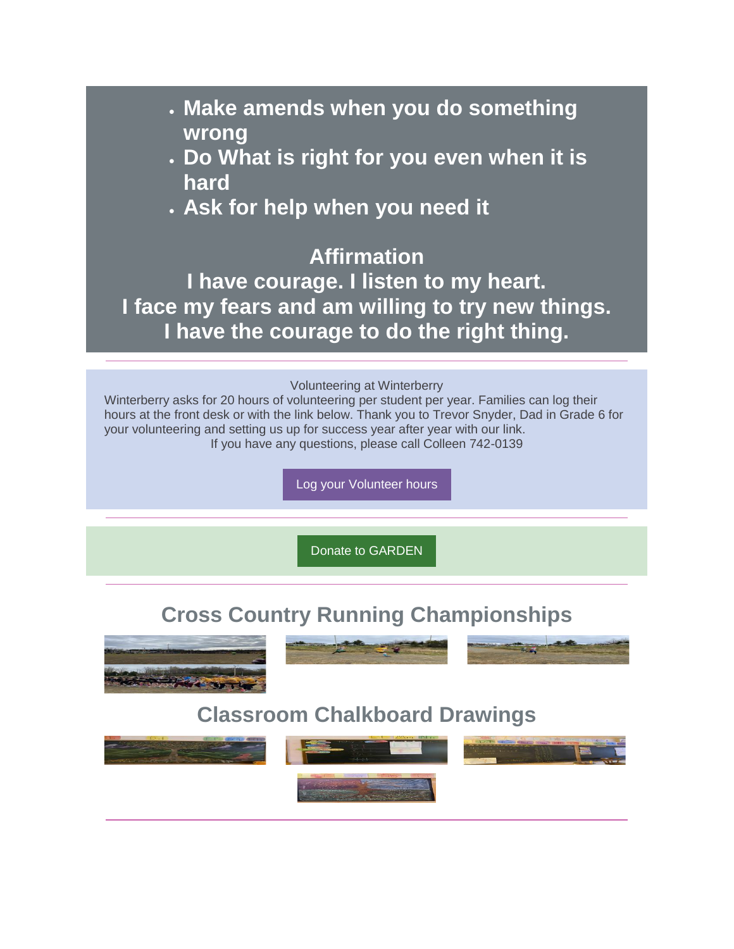- **Make amends when you do something wrong**
- **Do What is right for you even when it is hard**
- **Ask for help when you need it**

## **Affirmation**

**I have courage. I listen to my heart. I face my fears and am willing to try new things. I have the courage to do the right thing.**

#### Volunteering at Winterberry

Winterberry asks for 20 hours of volunteering per student per year. Families can log their hours at the front desk or with the link below. Thank you to Trevor Snyder, Dad in Grade 6 for your volunteering and setting us up for success year after year with our link. If you have any questions, please call Colleen 742-0139

[Log your Volunteer hours](https://nam12.safelinks.protection.outlook.com/?url=https%3A%2F%2Fr20.rs6.net%2Ftn.jsp%3Ff%3D001x_Lo3QXoM0bT_zI61xltEFSR8r_1YnymD-A-H_vsyQPZQ4PA8W1FJaVQ3N6ksAbIeUp5Iw_BipDtE7T3Q2mnYnMNIDeJPhOU9hm_F43UctkyU0bfdZW775CeTPtDIgAvIZChRLR9zCrPkoN-1-I27XvNRgpaGC8SdRviNGvw2GY8K_LlxFMhSKeEq_F5KTO1-KCBZQkG_d6uZ4xTL1e-ZWiSM0Fxo_Yv7jKAFmfJuTrb7HWEnmi-qF7Zx3VnQihWFgThPpOAo-NoiEZ2tCXbmA%3D%3D%26c%3DsYr7zzYBNnk3Gllh-n5cQ96phSaeXnwhFPunJdiPdY--XJuqlv3XXA%3D%3D%26ch%3D-A6ru9BcZi21tw6JlbTivk8X0HUB3Gtqt5ZhgrqWSACbF843YmFSdQ%3D%3D&data=04%7C01%7Cgarrels_shana%40asdk12.org%7C6b492b0a83db4fee3b9f08d98f5695a7%7C036ce601e95a4e46a3bd6b742ed4bb35%7C0%7C0%7C637698424326490623%7CUnknown%7CTWFpbGZsb3d8eyJWIjoiMC4wLjAwMDAiLCJQIjoiV2luMzIiLCJBTiI6Ik1haWwiLCJXVCI6Mn0%3D%7C1000&sdata=DRN84TxgW6splSgJ4LiWwjy5ho67rTen5B%2BhcooRUkg%3D&reserved=0)

[Donate to GARDEN](https://nam12.safelinks.protection.outlook.com/?url=https%3A%2F%2Fr20.rs6.net%2Ftn.jsp%3Ff%3D001x_Lo3QXoM0bT_zI61xltEFSR8r_1YnymD-A-H_vsyQPZQ4PA8W1FJQEuIJ5wDYbi3K-hyahxXQq-m8JDSJGP5nF560bJPIynMSZjoP0oYdbWefzwY3uiCttLosrFiMOLNjETYOai5R4i3NeXlmMTYHJtYMRFxs6CUcquNUsSLIFjowjUeOjC3QtgVhTDkLMzs9Qxt0Bs-E3jB5EF2t_ZECKk8JXy4Ks0%26c%3DsYr7zzYBNnk3Gllh-n5cQ96phSaeXnwhFPunJdiPdY--XJuqlv3XXA%3D%3D%26ch%3D-A6ru9BcZi21tw6JlbTivk8X0HUB3Gtqt5ZhgrqWSACbF843YmFSdQ%3D%3D&data=04%7C01%7Cgarrels_shana%40asdk12.org%7C6b492b0a83db4fee3b9f08d98f5695a7%7C036ce601e95a4e46a3bd6b742ed4bb35%7C0%7C0%7C637698424326500577%7CUnknown%7CTWFpbGZsb3d8eyJWIjoiMC4wLjAwMDAiLCJQIjoiV2luMzIiLCJBTiI6Ik1haWwiLCJXVCI6Mn0%3D%7C1000&sdata=5p5NDYrtSmxkvNv9FvFYHIdQmt3a6QcG5ZYxPsWkB8g%3D&reserved=0)

## **Cross Country Running Championships**







## **Classroom Chalkboard Drawings**